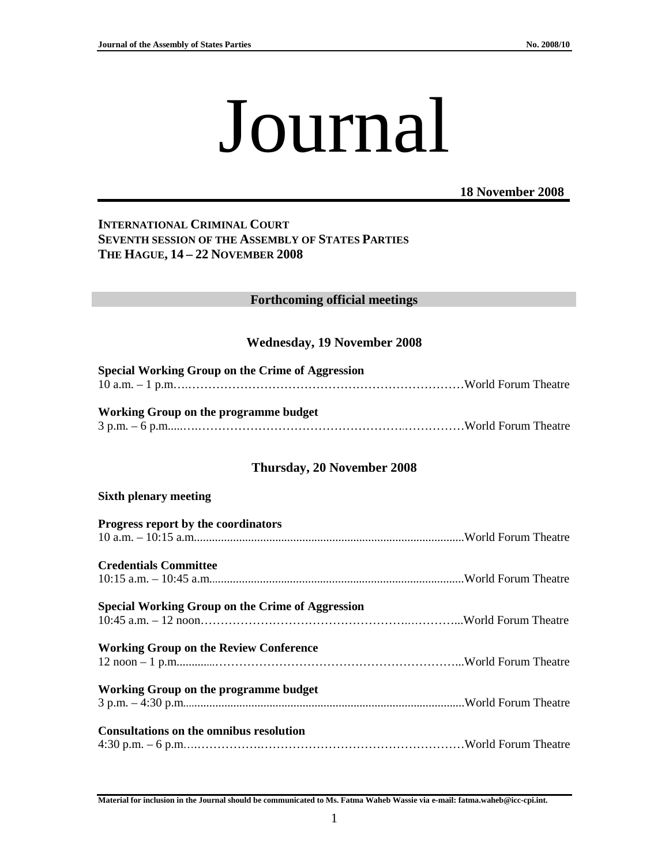# Journal

## **18 November 2008**

## **INTERNATIONAL CRIMINAL COURT SEVENTH SESSION OF THE ASSEMBLY OF STATES PARTIES THE HAGUE, 14 – 22 NOVEMBER 2008**

#### **Forthcoming official meetings**

#### **Wednesday, 19 November 2008**

| <b>Special Working Group on the Crime of Aggression</b> |  |  |
|---------------------------------------------------------|--|--|
| Working Group on the programme budget                   |  |  |
| Thursday, 20 November 2008                              |  |  |
| <b>Sixth plenary meeting</b>                            |  |  |
| Progress report by the coordinators                     |  |  |
| <b>Credentials Committee</b>                            |  |  |
| <b>Special Working Group on the Crime of Aggression</b> |  |  |
| <b>Working Group on the Review Conference</b>           |  |  |
| Working Group on the programme budget                   |  |  |
| <b>Consultations on the omnibus resolution</b>          |  |  |

**Material for inclusion in the Journal should be communicated to Ms. Fatma Waheb Wassie via e-mail: fatma.waheb@icc-cpi.int.**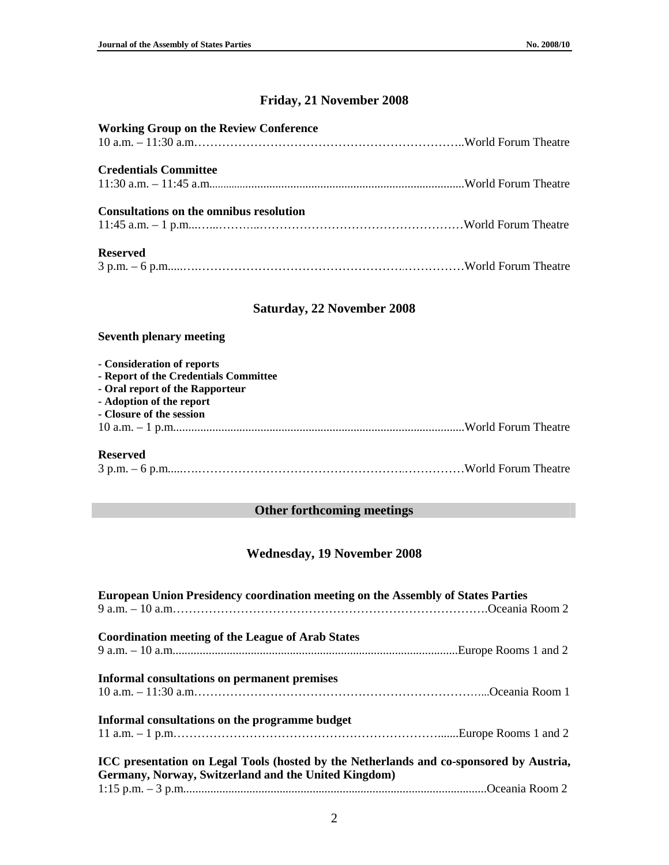## **Friday, 21 November 2008**

| <b>Working Group on the Review Conference</b> |  |
|-----------------------------------------------|--|
| <b>Credentials Committee</b>                  |  |
| Consultations on the omnibus resolution       |  |
| <b>Reserved</b>                               |  |

## **Saturday, 22 November 2008**

### **Seventh plenary meeting**

| - Consideration of reports            |  |
|---------------------------------------|--|
| - Report of the Credentials Committee |  |
| - Oral report of the Rapporteur       |  |
| - Adoption of the report              |  |
| - Closure of the session              |  |
|                                       |  |
| <b>Reserved</b>                       |  |

3 p.m. – 6 p.m.....….…………………………………………….……………World Forum Theatre

# **Other forthcoming meetings**

## **Wednesday, 19 November 2008**

| <b>European Union Presidency coordination meeting on the Assembly of States Parties</b>                                                         |  |
|-------------------------------------------------------------------------------------------------------------------------------------------------|--|
| <b>Coordination meeting of the League of Arab States</b>                                                                                        |  |
|                                                                                                                                                 |  |
| Informal consultations on permanent premises                                                                                                    |  |
| Informal consultations on the programme budget                                                                                                  |  |
| ICC presentation on Legal Tools (hosted by the Netherlands and co-sponsored by Austria,<br>Germany, Norway, Switzerland and the United Kingdom) |  |
|                                                                                                                                                 |  |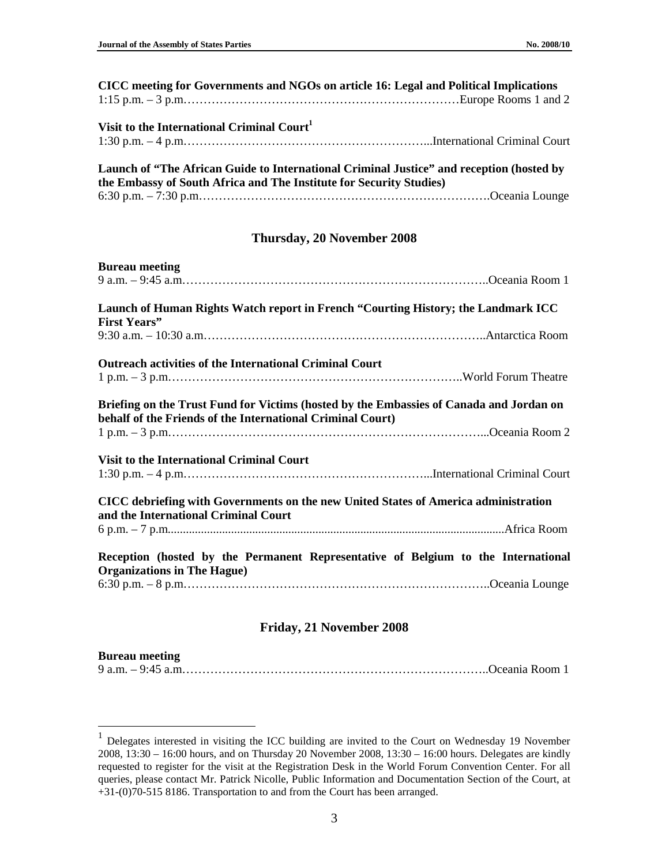| CICC meeting for Governments and NGOs on article 16: Legal and Political Implications |                                                                                          |
|---------------------------------------------------------------------------------------|------------------------------------------------------------------------------------------|
|                                                                                       |                                                                                          |
| Visit to the International Criminal Court <sup>1</sup>                                |                                                                                          |
|                                                                                       |                                                                                          |
|                                                                                       |                                                                                          |
| the Embassy of South Africa and The Institute for Security Studies)                   | Launch of "The African Guide to International Criminal Justice" and reception (hosted by |
|                                                                                       |                                                                                          |
|                                                                                       |                                                                                          |
|                                                                                       | Thursday, 20 November 2008                                                               |
| <b>Bureau meeting</b>                                                                 |                                                                                          |
|                                                                                       |                                                                                          |
|                                                                                       | Launch of Human Rights Watch report in French "Courting History; the Landmark ICC        |
| <b>First Years"</b>                                                                   |                                                                                          |
|                                                                                       |                                                                                          |
|                                                                                       |                                                                                          |

| <b>Bureau meeting</b>                                                                                                                                 |
|-------------------------------------------------------------------------------------------------------------------------------------------------------|
|                                                                                                                                                       |
| Launch of Human Rights Watch report in French "Courting History; the Landmark ICC<br><b>First Years"</b>                                              |
|                                                                                                                                                       |
| <b>Outreach activities of the International Criminal Court</b>                                                                                        |
|                                                                                                                                                       |
| Briefing on the Trust Fund for Victims (hosted by the Embassies of Canada and Jordan on<br>behalf of the Friends of the International Criminal Court) |
| <b>Visit to the International Criminal Court</b>                                                                                                      |
| CICC debriefing with Governments on the new United States of America administration<br>and the International Criminal Court                           |
|                                                                                                                                                       |
| Reception (hosted by the Permanent Representative of Belgium to the International<br><b>Organizations in The Hague)</b>                               |
|                                                                                                                                                       |

#### **Friday, 21 November 2008**

#### **Bureau meeting**

 1 Delegates interested in visiting the ICC building are invited to the Court on Wednesday 19 November 2008, 13:30 – 16:00 hours, and on Thursday 20 November 2008, 13:30 – 16:00 hours. Delegates are kindly requested to register for the visit at the Registration Desk in the World Forum Convention Center. For all queries, please contact Mr. Patrick Nicolle, Public Information and Documentation Section of the Court, at +31-(0)70-515 8186. Transportation to and from the Court has been arranged.